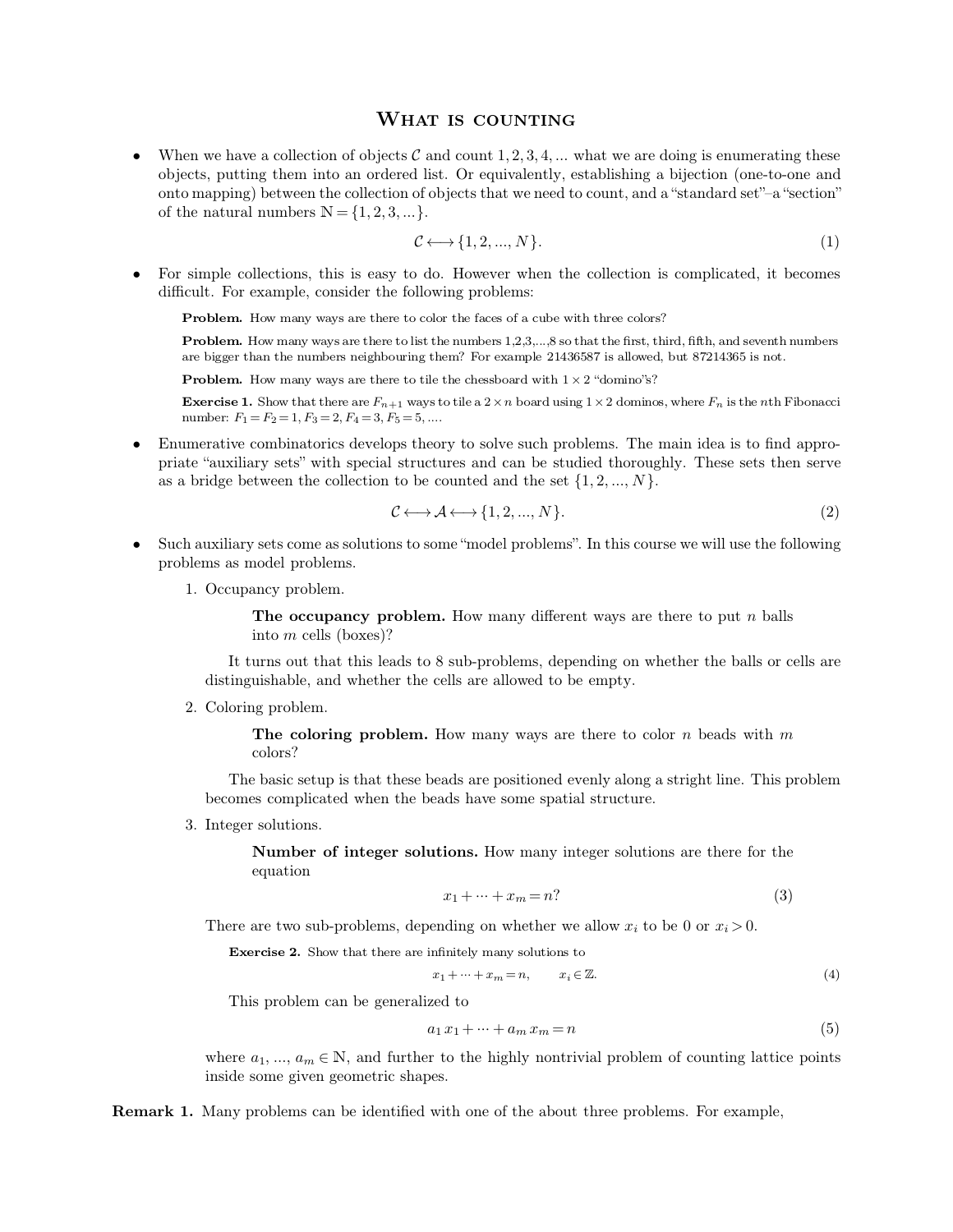**WHAT IS COUNTING**<br>jects  $C$  and count  $1, 2, 3, 4, ...$  what we are doi **WHAT IS COUNTING**<br>
• When we have a collection of objects  $C$  and count 1, 2, 3, 4, ... what we are doing is enumerating these<br>
objects, putting them into an ordered list. Or equivalently, establishing a bijection (one-t **Solution** WHAT IS COUNTING<br>When we have a collection of objects  $C$  and count 1, 2, 3, 4, ... what we are doing is enumerating these<br>objects, putting them into an ordered list. Or equivalently, establishing a bijection ( **WHAT IS COUNTING**<br>When we have a collection of objects  $C$  and count 1, 2, 3, 4, ... what we are doing is enumerating these<br>objects, putting them into an ordered list. Or equivalently, establishing a bijection (one-to-on **WHAT IS COUNTING**<br>
• When we have a collection of objects  $C$  and count 1, 2, 3, 4, ... what we are doing is enumerating these<br>
objects, putting them into an ordered list. Or equivalently, establishing a bijection (one-t

$$
\mathcal{C} \longleftrightarrow \{1, 2, ..., N\}.\tag{1}
$$

of the natural numbers  $N = \{1, 2, 3, ...\}$ .<br>  $\mathcal{C} \longleftrightarrow \{1, 2, ..., N\}$ .<br>
For simple collections, this is easy to do. However when t<br>
difficult. For example, consider the following problems:<br> **Problem.** How many ways are there to **Problem.** How many ways are there to color the faces of a cube with three colors?<br>**Problem.** How many ways are there to color the faces of a cube with three colors?<br>**Problem.** How many ways are there to list the numbers simple collections, this is easy to do. However when the collection is complicated, it becomes<br>icult. For example, consider the following problems:<br>**Problem.** How many ways are there to clor the faces of a cube with three

difficult. For example, consider the following problems:<br> **Problem.** How many ways are there to color the faces of a cube with three colors?<br> **Problem.** How many ways are there to list the numbers 1,2,3,...,8 so that the f **Problem.** How many ways are there to color the faces of a cube with thre **Problem.** How many ways are there to list the numbers 1,2,3,...,8 so that the are bigger than the numbers neighbouring them? For example 21436587

 $2$  "domino"s?

**Problem.** How many ways are there to list the numbers 1,2,3,...,8 so that the finare bigger than the numbers neighbouring them? For example 21436587 is alle**Problem.** How many ways are there to tile the chessboard with **Exercise 1.** Show that there are  $F_{n+1}$  ways to tile a  $2 \times n$  board using  $1 \times 2$  dominos, where  $F_n$  is the *n*th Fibonacci

are bigger than the numbers neighbouring them? For example 21436587 is allowed, but 87214365 is not.<br> **Problem.** How many ways are there to tile the chessboard with  $1 \times 2$  "domino"s?<br> **Exercise 1.** Show that there are  $F$ **Problem.** How many ways are there to tile the chessboard with  $1 \times 2$  "domino"s?<br> **Exercise 1.** Show that there are  $F_{n+1}$  ways to tile a  $2 \times n$  board using  $1 \times 2$  dominos, where  $F_n$  is the *n*th Fibonacci<br>
number: **Exercise 1.** Show that there are  $F_{n+1}$  ways to tile a  $2 \times n$  board using  $1 \times 2$  dominos, where  $F_n$  is the *n*th Fibonacci<br>number:  $F_1 = F_2 = 1$ ,  $F_3 = 2$ ,  $F_4 = 3$ ,  $F_5 = 5$ ,....<br><br><br>**•** Enumerative combinatorics devel

$$
\mathcal{C} \longleftrightarrow \mathcal{A} \longleftrightarrow \{1, 2, ..., N\}.\tag{2}
$$

- as a bridge between the collection to be counted and the set  $\{1, 2, ..., N\}$ .<br>  $\mathcal{C} \longleftrightarrow \mathcal{A} \longleftrightarrow \{1, 2, ..., N\}$ .<br>
Such auxiliary sets come as solutions to some "model problems". In this cour<br>
problems as model problems.<br>
1. Oc the auxiliary sets come as solut<br>1. Occupancy problem.<br>1. Occupancy problem.<br>**The occupancy** The occupancy problem. How many different ways are there to put *n* balls into *m* cells (boxes)?
	-

into it is come as solutions to som<br>
into *m* cells (boxes)?<br>
urns out that this leads to 8

Example 19 superary problem. How many different ways are there to put  $n$  balls<br>into  $m$  cells (boxes)?<br>It turns out that this leads to 8 sub-problems, depending on whether the balls or cells are<br>inguishable, and whether Occupancy problem. How many different ways are the into  $m$  cells (boxes)?<br>It turns out that this leads to 8 sub-problems, depending on whethis distinguishable, and whether the cells are allowed to be empty.<br>Coloring prob 2. Coloring problem. The coloring problem. How many ways are there to color *n* beads with *m* colors?<br>The coloring problem. How many ways are there to color *n* beads with *m* colors?

colors?

The coloring problem.<br>The coloring problem. How many ways are there to color  $n$  beads with  $m$  colors?<br>The basic setup is that these beads are positioned evenly along a stright line. This problem<br>omes complicated when th Coloring problem. How many ways are there to color r colors?<br>The basic setup is that these beads are positioned evenly along a str.<br>becomes complicated when the beads have some spatial structure.<br>Integer solutions. The coloring<br>colors?<br>The basic setup is<br>becomes complicated<br>3. Integer solutions.<br>Number of in The basic setup is that these beads are positioned evenly along a stright line. This problem<br>becomes complicated when the beads have some spatial structure.<br>3. Integer solutions.<br>Number of integer solutions. How many integ

equation **Number of integer solutions.** How many integer solutions are there for the<br>equation<br> $x_1 + \dots + x_m = n$ ? (3)<br>There are two sub-problems, depending on whether we allow  $x_i$  to be 0 or  $x_i > 0$ .<br>**Exercise 2.** Show that there are

$$
x_1 + \dots + x_m = n
$$
\n<sup>(3)</sup>

There are two sub-problems, depending on whether we allow  $x_i$  to be 0 or  $x_i > 0$ .<br> **Exercise 2.** Show that there are infinitely many solutions to<br>  $x_1 + \cdots + x_m = n$ ,  $x_i \in \mathbb{Z}$ .<br>
This problem can be generalized to

$$
x_1 + \dots + x_m = n, \qquad x_i \in \mathbb{Z}.\tag{4}
$$

$$
a_1 x_1 + \dots + a_m x_m = n \tag{5}
$$

 $x_1+\cdots+x_m=n,\qquad x_i\in\mathbb{Z}.\eqno(4)$  This problem can be generalized to<br> $a_1\,x_1+\cdots+a_m\,x_m=n \qquad \qquad (5)$  where  $a_1,\,...,\,a_m\in\mathbb{N},$  and further to the highly nontrivial problem of counting lattice points inside some given geometric This problem can be generalized to<br>  $a_1 x_1 + \cdots$ <br>
where  $a_1, \ldots, a_m \in \mathbb{N}$ , and further to the<br>
inside some given geometric shapes.

inside some given geometric shapes.<br>**Remark 1.** Many problems can be identified with one of the about three problems. For example,